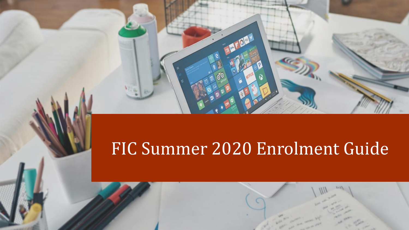# FIC Summer 2020 Enrolment Guide

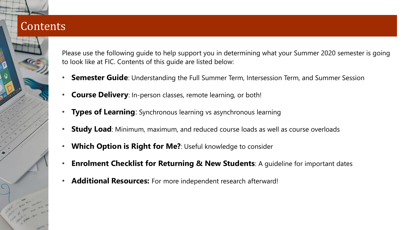# **Contents**



Please use the following guide to help support you in determining what your Summer 2020 semester is going to look like at FIC. Contents of this guide are listed below:

- **Semester Guide**: Understanding the Full Summer Term, Intersession Term, and Summer Session
- **Course Delivery**: In-person classes, remote learning, or both!
- **Types of Learning**: Synchronous learning vs asynchronous learning
- **Study Load**: Minimum, maximum, and reduced course loads as well as course overloads
- **Which Option is Right for Me?**: Useful knowledge to consider
- **Enrolment Checklist for Returning & New Students**: A guideline for important dates
- **Additional Resources:** For more independent research afterward!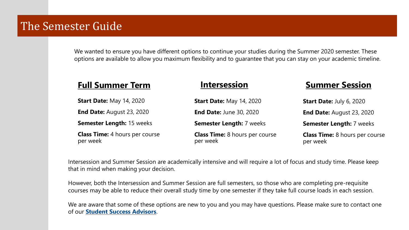# The Semester Guide

We wanted to ensure you have different options to continue your studies during the Summer 2020 semester. These options are available to allow you maximum flexibility and to guarantee that you can stay on your academic timeline.

### **Full Summer Term Intersession Summer Session**

| <b>Start Date: May 14, 2020</b>                   | <b>Start Date: May 14, 2020</b>                   | <b>Start Date: July 6, 2020</b>                   |
|---------------------------------------------------|---------------------------------------------------|---------------------------------------------------|
| <b>End Date: August 23, 2020</b>                  | <b>End Date: June 30, 2020</b>                    | <b>End Date: August 23, 2020</b>                  |
| <b>Semester Length: 15 weeks</b>                  | <b>Semester Length: 7 weeks</b>                   | <b>Semester Length: 7 weeks</b>                   |
| <b>Class Time:</b> 4 hours per course<br>per week | <b>Class Time:</b> 8 hours per course<br>per week | <b>Class Time:</b> 8 hours per course<br>per week |

Intersession and Summer Session are academically intensive and will require a lot of focus and study time. Please keep that in mind when making your decision.

However, both the Intersession and Summer Session are full semesters, so those who are completing pre-requisite courses may be able to reduce their overall study time by one semester if they take full course loads in each session.

We are aware that some of these options are new to you and you may have questions. Please make sure to contact one of our **[Student Success Advisors](https://students.fraseric.ca/resources/advisors/)**.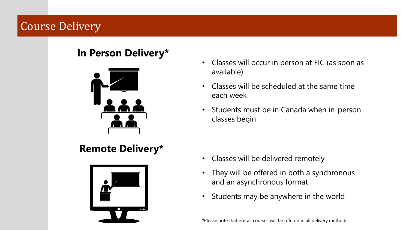# Course Delivery

### **In Person Delivery\***



# **Remote Delivery\***



- Classes will occur in person at FIC (as soon as available)
- Classes will be scheduled at the same time each week
- Students must be in Canada when in-person classes begin

- Classes will be delivered remotely
- They will be offered in both a synchronous and an asynchronous format
- Students may be anywhere in the world

\*Please note that not all courses will be offered in all delivery methods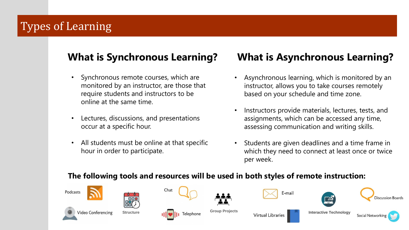# Types of Learning

- Synchronous remote courses, which are monitored by an instructor, are those that require students and instructors to be online at the same time.
- Lectures, discussions, and presentations occur at a specific hour.
- All students must be online at that specific hour in order to participate.

## **What is Synchronous Learning? What is Asynchronous Learning?**

- Asynchronous learning, which is monitored by an instructor, allows you to take courses remotely based on your schedule and time zone.
- Instructors provide materials, lectures, tests, and assignments, which can be accessed any time, assessing communication and writing skills.
- Students are given deadlines and a time frame in which they need to connect at least once or twice per week.

#### **The following tools and resources will be used in both styles of remote instruction:**

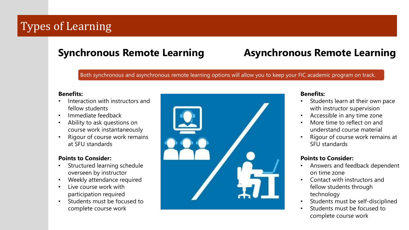# Types of Learning

# **Synchronous Remote Learning Asynchronous Remote Learning**

Both synchronous and asynchronous remote learning options will allow you to keep your FIC academic program on track.

#### **Benefits:**

- Interaction with instructors and fellow students
- Immediate feedback
- Ability to ask questions on course work instantaneously
- Rigour of course work remains at SFU standards

#### **Points to Consider:**

- Structured learning schedule overseen by instructor
- Weekly attendance required
- Live course work with participation required
- Students must be focused to complete course work



#### **Benefits:**

- Students learn at their own pace with instructor supervision
- Accessible in any time zone
- More time to reflect on and understand course material
- Rigour of course work remains at SFU standards

#### **Points to Consider:**

- Answers and feedback dependent on time zone
- Contact with instructors and fellow students through technology
- Students must be self-disciplined
- Students must be focused to complete course work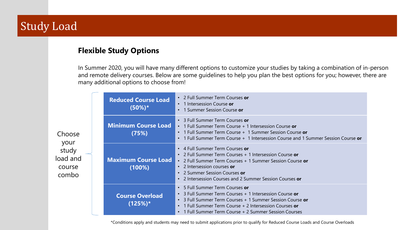# Study Load

### **Flexible Study Options**

In Summer 2020, you will have many different options to customize your studies by taking a combination of in-person and remote delivery courses. Below are some guidelines to help you plan the best options for you; however, there are many additional options to choose from!

| Choose<br>your<br>study<br>load and<br>course<br>combo | <b>Reduced Course Load</b><br>$(50\%)^*$ | • 2 Full Summer Term Courses or<br>• 1 Intersession Course or<br>• 1 Summer Session Course or                                                                                                                                                                                           |
|--------------------------------------------------------|------------------------------------------|-----------------------------------------------------------------------------------------------------------------------------------------------------------------------------------------------------------------------------------------------------------------------------------------|
|                                                        | <b>Minimum Course Load</b><br>(75%)      | • 3 Full Summer Term Courses or<br>• 1 Full Summer Term Course + 1 Intersession Course or<br>• 1 Full Summer Term Course + 1 Summer Session Course or<br>• 1 Full Summer Term Course + 1 Intersession Course and 1 Summer Session Course or                                             |
|                                                        | <b>Maximum Course Load</b><br>(100%)     | • 4 Full Summer Term Courses or<br>• 2 Full Summer Term Courses + 1 Intersession Course or<br>• 2 Full Summer Term Courses + 1 Summer Session Course or<br>• 2 Intersession courses $or$<br>• 2 Summer Session Courses $or$<br>• 2 Intersession Courses and 2 Summer Session Courses or |
|                                                        | <b>Course Overload</b><br>$(125%)$ *     | • 5 Full Summer Term Courses or<br>• 3 Full Summer Term Courses + 1 Intersession Course or<br>• 3 Full Summer Term Courses + 1 Summer Session Course or<br>• 1 Full Summer Term Course + 2 Intersession Courses or<br>• 1 Full Summer Term Course + 2 Summer Session Courses            |

\*Conditions apply and students may need to submit applications prior to qualify for Reduced Course Loads and Course Overloads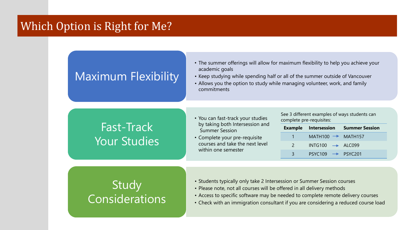### Which Option is Right for Me?

# Maximum Flexibility

- The summer offerings will allow for maximum flexibility to help you achieve your academic goals
- Keep studying while spending half or all of the summer outside of Vancouver
- Allows you the option to study while managing volunteer, work, and family commitments

# Fast-Track Your Studies

- You can fast-track your studies by taking both Intersession and Summer Session
- Complete your pre-requisite courses and take the next level within one semester

See 3 different examples of ways students can complete pre-requisites:

|               |                               | <b>Example Intersession Summer Session</b> |
|---------------|-------------------------------|--------------------------------------------|
|               | MATH100 $\rightarrow$ MATH157 |                                            |
| $\mathcal{P}$ | $INTG100 \rightarrow ALC099$  |                                            |
| 3             | $PSYC109 \rightarrow PSYC201$ |                                            |

# **Study** Considerations

- Students typically only take 2 Intersession or Summer Session courses
- Please note, not all courses will be offered in all delivery methods
- Access to specific software may be needed to complete remote delivery courses
- Check with an immigration consultant if you are considering a reduced course load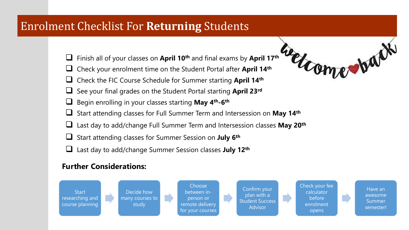# Enrolment Checklist For **Returning** Students

- ❑ Finish all of your classes on **April 10th** and final exams by **April 17th**
- ❑ Check your enrolment time on the Student Portal after **April 14th**
- ❑ Check the FIC Course Schedule for Summer starting **April 14th**
- ❑ See your final grades on the Student Portal starting **April 23rd**
- ❑ Begin enrolling in your classes starting **May 4th-6 th**
- ❑ Start attending classes for Full Summer Term and Intersession on **May 14th**
- ❑ Last day to add/change Full Summer Term and Intersession classes **May 20th**
- ❑ Start attending classes for Summer Session on **July 6th**
- ❑ Last day to add/change Summer Session classes **July 12th**

### **Further Considerations:**



rear war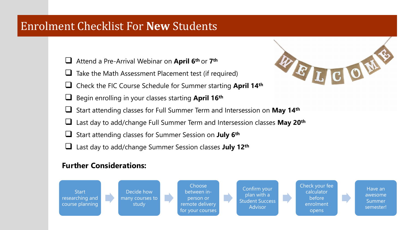## Enrolment Checklist For **New** Students

- ❑ Attend a Pre-Arrival Webinar on **April 6th** or **7 th**
- Take the Math Assessment Placement test (if required)
- ❑ Check the FIC Course Schedule for Summer starting **April 14th**
- ❑ Begin enrolling in your classes starting **April 16th**



- ❑ Start attending classes for Full Summer Term and Intersession on **May 14th**
- ❑ Last day to add/change Full Summer Term and Intersession classes **May 20th**
- ❑ Start attending classes for Summer Session on **July 6th**
- ❑ Last day to add/change Summer Session classes **July 12th**

### **Further Considerations:**